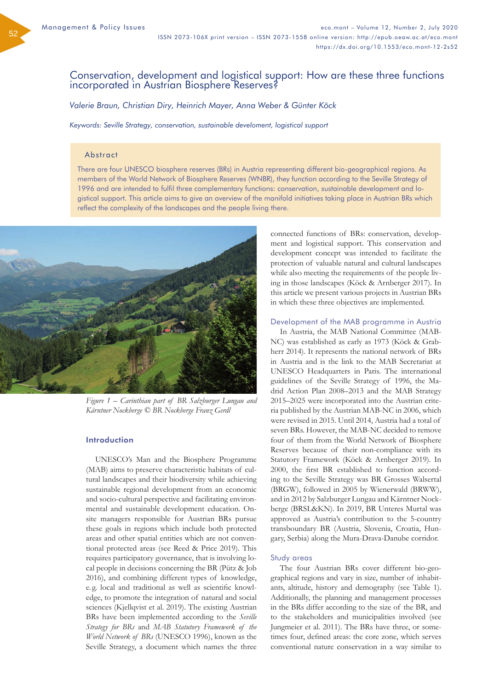52

# Conservation, development and logistical support: How are these three functions incorporated in Austrian Biosphere Reserves?

*Valerie Braun, Christian Diry, Heinrich Mayer, Anna Weber & Günter Köck*

*Keywords: Seville Strategy, conservation, sustainable develoment, logistical support*

# Abstract

There are four UNESCO biosphere reserves (BRs) in Austria representing different bio-geographical regions. As members of the World Network of Biosphere Reserves (WNBR), they function according to the Seville Strategy of 1996 and are intended to fulfil three complementary functions: conservation, sustainable development and logistical support. This article aims to give an overview of the manifold initiatives taking place in Austrian BRs which reflect the complexity of the landscapes and the people living there.



*Figure 1 – Carinthian part of BR Salzburger Lungau and Kärntner Nockberge © BR Nockberge Franz Gerdl*

### Introduction

UNESCO's Man and the Biosphere Programme (MAB) aims to preserve characteristic habitats of cultural landscapes and their biodiversity while achieving sustainable regional development from an economic and socio-cultural perspective and facilitating environmental and sustainable development education. Onsite managers responsible for Austrian BRs pursue these goals in regions which include both protected areas and other spatial entities which are not conventional protected areas (see Reed & Price 2019). This requires participatory governance, that is involving local people in decisions concerning the BR (Pütz & Job 2016), and combining different types of knowledge, e. g. local and traditional as well as scientific knowledge, to promote the integration of natural and social sciences (Kjellqvist et al. 2019). The existing Austrian BRs have been implemented according to the *Seville Strategy for BRs* and *MAB Statutory Framework of the World Network of BRs* (UNESCO 1996), known as the Seville Strategy, a document which names the three

connected functions of BRs: conservation, development and logistical support. This conservation and development concept was intended to facilitate the protection of valuable natural and cultural landscapes while also meeting the requirements of the people living in those landscapes (Köck & Arnberger 2017). In this article we present various projects in Austrian BRs in which these three objectives are implemented.

### Development of the MAB programme in Austria

In Austria, the MAB National Committee (MAB-NC) was established as early as 1973 (Köck & Grabherr 2014). It represents the national network of BRs in Austria and is the link to the MAB Secretariat at UNESCO Headquarters in Paris. The international guidelines of the Seville Strategy of 1996, the Madrid Action Plan 2008–2013 and the MAB Strategy 2015–2025 were incorporated into the Austrian criteria published by the Austrian MAB-NC in 2006, which were revised in 2015. Until 2014, Austria had a total of seven BRs. However, the MAB-NC decided to remove four of them from the World Network of Biosphere Reserves because of their non-compliance with its Statutory Framework (Köck & Arnberger 2019). In 2000, the first BR established to function according to the Seville Strategy was BR Grosses Walsertal (BRGW), followed in 2005 by Wienerwald (BRWW), and in 2012 by Salzburger Lungau and Kärntner Nockberge (BRSL&KN). In 2019, BR Unteres Murtal was approved as Austria's contribution to the 5-country transboundary BR (Austria, Slovenia, Croatia, Hungary, Serbia) along the Mura-Drava-Danube corridor.

#### Study areas

The four Austrian BRs cover different bio-geographical regions and vary in size, number of inhabitants, altitude, history and demography (see Table 1). Additionally, the planning and management processes in the BRs differ according to the size of the BR, and to the stakeholders and municipalities involved (see Jungmeier et al. 2011). The BRs have three, or sometimes four, defined areas: the core zone, which serves conventional nature conservation in a way similar to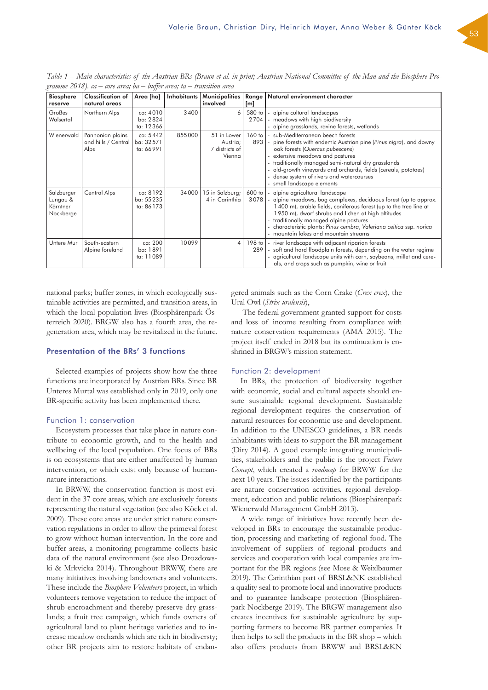| <b>Biosphere</b><br>reserve                     | <b>Classification of</b><br>natural areas       | Area [ha]                          | Inhabitants | Municipalities<br>involved                          | [m]            | Range   Natural environment character                                                                                                                                                                                                                                                                                                                                                      |
|-------------------------------------------------|-------------------------------------------------|------------------------------------|-------------|-----------------------------------------------------|----------------|--------------------------------------------------------------------------------------------------------------------------------------------------------------------------------------------------------------------------------------------------------------------------------------------------------------------------------------------------------------------------------------------|
| Großes<br>Walsertal                             | Northern Alps                                   | ca: 4010<br>ba: 2824<br>ta: 12366  | 3400        | 6                                                   | 580 to<br>2704 | - alpine cultural landscapes<br>- meadows with high biodiversity<br>- alpine grasslands, ravine forests, wetlands                                                                                                                                                                                                                                                                          |
| Wienerwald                                      | Pannonian plains<br>and hills / Central<br>Alps | ca: 5442<br>ba: 32571<br>ta: 66991 | 855000      | 51 in Lower<br>Austria;<br>7 districts of<br>Vienna | 60 to<br>893   | - sub-Mediterranean beech forests<br>- pine forests with endemic Austrian pine (Pinus nigra), and downy<br>oak forests (Quercus pubescens)<br>- extensive meadows and pastures<br>- traditionally managed semi-natural dry grasslands<br>- old-growth vineyards and orchards, fields (cereals, potatoes)<br>- dense system of rivers and watercourses<br>- small landscape elements        |
| Salzburger<br>Lungau &<br>Kärntner<br>Nockberge | Central Alps                                    | ca: 8192<br>ba: 55235<br>ta: 86173 | 34000       | 15 in Salzburg;<br>4 in Carinthia                   | 600 to<br>3078 | - alpine agricultural landscape<br>- alpine meadows, bog complexes, deciduous forest (up to approx.<br>1400 m), arable fields, coniferous forest (up to the tree line at<br>1950 m), dwarf shrubs and lichen at high altitudes<br>- traditionally managed alpine pastures<br>- characteristic plants: Pinus cembra, Valeriana celtica ssp. norica<br>- mountain lakes and mountain streams |
| Untere Mur                                      | South-eastern<br>Alpine foreland                | ca: 200<br>ba: 1891<br>ta: 11089   | 10099       | 4                                                   | 198 to<br>289  | - river landscape with adjacent riparian forests<br>- soft and hard floodplain forests, depending on the water regime<br>- agricultural landscape units with corn, soybeans, millet and cere-<br>als, and crops such as pumpkin, wine or fruit                                                                                                                                             |

*Table 1 – Main characteristics of the Austrian BRs (Braun et al. in print; Austrian National Committee of the Man and the Biosphere Programme 2018). ca – core area; ba – buffer area; ta – transition area*

national parks; buffer zones, in which ecologically sustainable activities are permitted, and transition areas, in which the local population lives (Biosphärenpark Österreich 2020). BRGW also has a fourth area, the regeneration area, which may be revitalized in the future.

# Presentation of the BRs' 3 functions

Selected examples of projects show how the three functions are incorporated by Austrian BRs. Since BR Unteres Murtal was established only in 2019, only one BR-specific activity has been implemented there.

#### Function 1: conservation

Ecosystem processes that take place in nature contribute to economic growth, and to the health and wellbeing of the local population. One focus of BRs is on ecosystems that are either unaffected by human intervention, or which exist only because of humannature interactions.

In BRWW, the conservation function is most evident in the 37 core areas, which are exclusively forests representing the natural vegetation (see also Köck et al. 2009). These core areas are under strict nature conservation regulations in order to allow the primeval forest to grow without human intervention. In the core and buffer areas, a monitoring programme collects basic data of the natural environment (see also Drozdowski & Mrkvicka 2014). Throughout BRWW, there are many initiatives involving landowners and volunteers. These include the *Biosphere Volunteers* project, in which volunteers remove vegetation to reduce the impact of shrub encroachment and thereby preserve dry grasslands; a fruit tree campaign, which funds owners of agricultural land to plant heritage varieties and to increase meadow orchards which are rich in biodiversty; other BR projects aim to restore habitats of endangered animals such as the Corn Crake (*Crex crex*), the Ural Owl (*Strix uralensis*),

 The federal government granted support for costs and loss of income resulting from compliance with nature conservation requirements (AMA 2015). The project itself ended in 2018 but its continuation is enshrined in BRGW's mission statement.

### Function 2: development

In BRs, the protection of biodiversity together with economic, social and cultural aspects should ensure sustainable regional development. Sustainable regional development requires the conservation of natural resources for economic use and development. In addition to the UNESCO guidelines, a BR needs inhabitants with ideas to support the BR management (Diry 2014). A good example integrating municipalities, stakeholders and the public is the project *Future Concept*, which created a *roadmap* for BRWW for the next 10 years. The issues identified by the participants are nature conservation activities, regional development, education and public relations (Biosphärenpark Wienerwald Management GmbH 2013).

A wide range of initiatives have recently been developed in BRs to encourage the sustainable production, processing and marketing of regional food. The involvement of suppliers of regional products and services and cooperation with local companies are important for the BR regions (see Mose & Weixlbaumer 2019). The Carinthian part of BRSL&NK established a quality seal to promote local and innovative products and to guarantee landscape protection (Biosphärenpark Nockberge 2019). The BRGW management also creates incentives for sustainable agriculture by supporting farmers to become BR partner companies. It then helps to sell the products in the BR shop – which also offers products from BRWW and BRSL&KN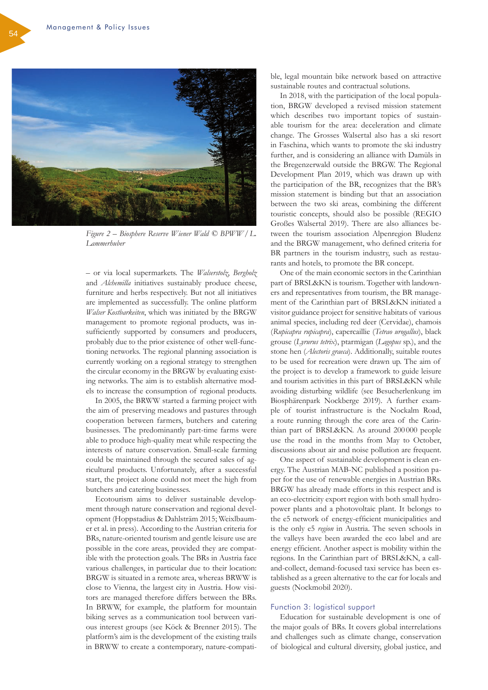

*Figure 2 – Biosphere Reserve Wiener Wald © BPWW/L. Lammerhuber*

– or via local supermarkets. The *Walserstolz*, *Bergholz* and *Alchemilla* initiatives sustainably produce cheese, furniture and herbs respectively. But not all initiatives are implemented as successfully. The online platform *Walser Kostbarkeiten*, which was initiated by the BRGW management to promote regional products, was insufficiently supported by consumers and producers, probably due to the prior existence of other well-functioning networks. The regional planning association is currently working on a regional strategy to strengthen the circular economy in the BRGW by evaluating existing networks. The aim is to establish alternative models to increase the consumption of regional products.

In 2005, the BRWW started a farming project with the aim of preserving meadows and pastures through cooperation between farmers, butchers and catering businesses. The predominantly part-time farms were able to produce high-quality meat while respecting the interests of nature conservation. Small-scale farming could be maintained through the secured sales of agricultural products. Unfortunately, after a successful start, the project alone could not meet the high from butchers and catering businesses.

Ecotourism aims to deliver sustainable development through nature conservation and regional development (Hoppstadius & Dahlsträm 2015; Weixlbaumer et al. in press). According to the Austrian criteria for BRs, nature-oriented tourism and gentle leisure use are possible in the core areas, provided they are compatible with the protection goals. The BRs in Austria face various challenges, in particular due to their location: BRGW is situated in a remote area, whereas BRWW is close to Vienna, the largest city in Austria. How visitors are managed therefore differs between the BRs. In BRWW, for example, the platform for mountain biking serves as a communication tool between various interest groups (see Köck & Brenner 2015). The platform's aim is the development of the existing trails in BRWW to create a contemporary, nature-compatible, legal mountain bike network based on attractive sustainable routes and contractual solutions.

In 2018, with the participation of the local population, BRGW developed a revised mission statement which describes two important topics of sustainable tourism for the area: deceleration and climate change. The Grosses Walsertal also has a ski resort in Faschina, which wants to promote the ski industry further, and is considering an alliance with Damüls in the Bregenzerwald outside the BRGW. The Regional Development Plan 2019, which was drawn up with the participation of the BR, recognizes that the BR's mission statement is binding but that an association between the two ski areas, combining the different touristic concepts, should also be possible (REGIO Großes Walsertal 2019). There are also alliances between the tourism association Alpenregion Bludenz and the BRGW management, who defined criteria for BR partners in the tourism industry, such as restaurants and hotels, to promote the BR concept.

One of the main economic sectors in the Carinthian part of BRSL&KN is tourism. Together with landowners and representatives from tourism, the BR management of the Carinthian part of BRSL&KN initiated a visitor guidance project for sensitive habitats of various animal species, including red deer (Cervidae), chamois (*Rupicapra rupicapra*), capercaillie (*Tetrao urogallus*), black grouse (*Lyrurus tetrix*), ptarmigan (*Lagopus* sp.), and the stone hen (*Alectoris graeca*). Additionally, suitable routes to be used for recreation were drawn up. The aim of the project is to develop a framework to guide leisure and tourism activities in this part of BRSL&KN while avoiding disturbing wildlife (see Besucherlenkung im Biosphärenpark Nockberge 2019). A further example of tourist infrastructure is the Nockalm Road, a route running through the core area of the Carinthian part of BRSL&KN. As around 200000 people use the road in the months from May to October, discussions about air and noise pollution are frequent.

One aspect of sustainable development is clean energy. The Austrian MAB-NC published a position paper for the use of renewable energies in Austrian BRs. BRGW has already made efforts in this respect and is an eco-electricity export region with both small hydropower plants and a photovoltaic plant. It belongs to the e5 network of energy-efficient municipalities and is the only e5 *region* in Austria. The seven schools in the valleys have been awarded the eco label and are energy efficient. Another aspect is mobility within the regions. In the Carinthian part of BRSL&KN, a calland-collect, demand-focused taxi service has been established as a green alternative to the car for locals and guests (Nockmobil 2020).

# Function 3: logistical support

Education for sustainable development is one of the major goals of BRs. It covers global interrelations and challenges such as climate change, conservation of biological and cultural diversity, global justice, and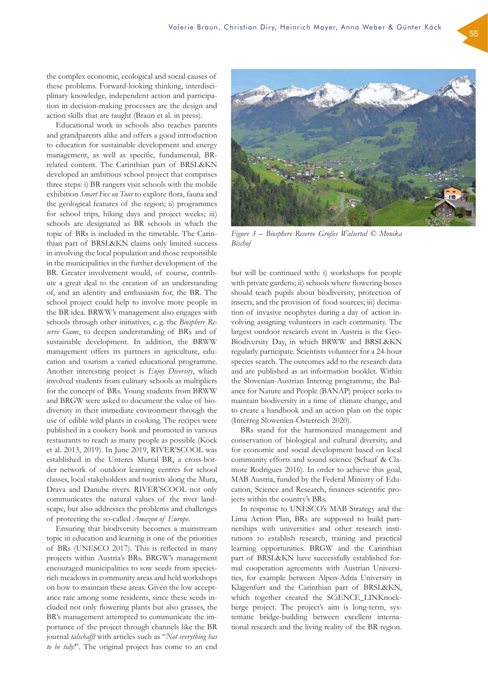the complex economic, ecological and social causes of these problems. Forward-looking thinking, interdisciplinary knowledge, independent action and participation in decision-making processes are the design and action skills that are taught (Braun et al. in press).

Educational work in schools also reaches parents and grandparents alike and offers a good introduction to education for sustainable development and energy management, as well as specific, fundamental, BRrelated content. The Carinthian part of BRSL&KN developed an ambitious school project that comprises three steps: i) BR rangers visit schools with the mobile exhibition *Smart Fox on Tour* to explore flora, fauna and the geological features of the region; ii) programmes for school trips, hiking days and project weeks; iii) schools are designated as BR schools in which the topic of BRs is included in the timetable. The Carinthian part of BRSL&KN claims only limited success in involving the local population and those responsible in the municipalities in the further development of the BR. Greater involvement would, of course, contribute a great deal to the creation of an understanding of, and an identity and enthusiasm for, the BR. The school project could help to involve more people in the BR idea. BRWW's management also engages with schools through other initiatives, e. g. the *Biosphere Reserve Game*, to deepen understanding of BRs and of sustainable development. In addition, the BRWW management offers its partners in agriculture, education and tourism a varied educational programme. Another interesting project is *Enjoy Diversity*, which involved students from culinary schools as multipliers for the concept of BRs. Young students from BRWW and BRGW were asked to document the value of biodiversity in their immediate environment through the use of edible wild plants in cooking. The recipes were published in a cookery book and promoted in various restaurants to reach as many people as possible (Köck et al. 2013, 2019). In June 2019, RIVER'SCOOL was established in the Unteres Murtal BR, a cross-border network of outdoor learning centres for school classes, local stakeholders and tourists along the Mura, Drava and Danube rivers. RIVER'SCOOL not only communicates the natural values of the river landscape, but also addresses the problems and challenges of protecting the so-called *Amazon of Europe*.

Ensuring that biodiversity becomes a mainstream topic in education and learning is one of the priorities of BRs (UNESCO 2017). This is reflected in many projects within Austria's BRs. BRGW's management encouraged municipalities to sow seeds from speciesrich meadows in community areas and held workshops on how to maintain these areas. Given the low acceptance rate among some residents, since these seeds included not only flowering plants but also grasses, the BR's management attempted to communicate the importance of the project through channels like the BR journal *talschafft* with articles such as "*Not everything has to be tidy!*". The original project has come to an end

but will be continued with: i) workshops for people with private gardens; ii) schools where flowering boxes *Bischof*

should teach pupils about biodiversity, protection of insects, and the provision of food sources; iii) decimation of invasive neophytes during a day of action involving assigning volunteers in each community. The largest outdoor research event in Austria is the Geo-Biodiversity Day, in which BRWW and BRSL&KN regularly participate. Scientists volunteer for a 24-hour species search. The outcomes add to the research data and are published as an information booklet. Within the Slovenian-Austrian Interreg programme, the Balance for Nature and People (BANAP) project seeks to maintain biodiversity in a time of climate change, and to create a handbook and an action plan on the topic (Interreg Slowenien-Österreich 2020).

BRs stand for the harmonized management and conservation of biological and cultural diversity, and for economic and social development based on local community efforts and sound science (Schaaf & Clamote Rodrigues 2016). In order to achieve this goal, MAB Austria, funded by the Federal Ministry of Education, Science and Research, finances scientific projects within the country's BRs.

In response to UNESCO's MAB Strategy and the Lima Action Plan, BRs are supposed to build partnerships with universities and other research institutions to establish research, training and practical learning opportunities. BRGW and the Carinthian part of BRSL&KN have successfully established formal cooperation agreements with Austrian Universities, for example between Alpen-Adria University in Klagenfurt and the Carinthian part of BRSL&KN, which together created the SCiENCE\_LINKnockberge project. The project's aim is long-term, systematic bridge-building between excellent international research and the living reality of the BR region.

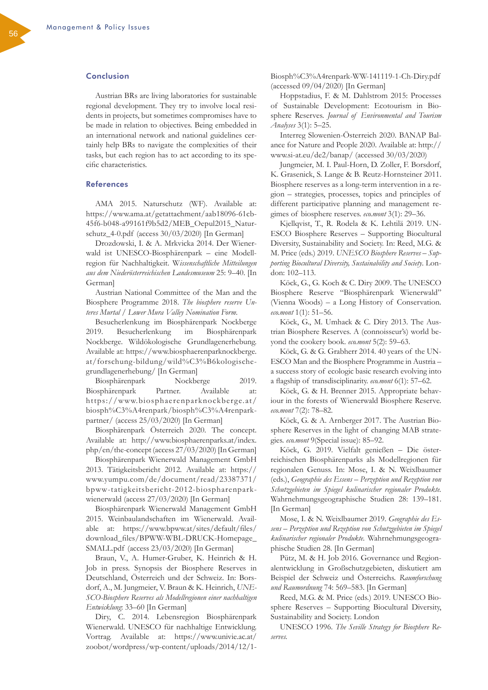# Conclusion

Austrian BRs are living laboratories for sustainable regional development. They try to involve local residents in projects, but sometimes compromises have to be made in relation to objectives. Being embedded in an international network and national guidelines certainly help BRs to navigate the complexities of their tasks, but each region has to act according to its specific characteristics.

# References

AMA 2015. Naturschutz (WF). Available at: [https://www.ama.at/getattachment/aab18096-61cb-](https://www.ama.at/getattachment/aab18096-61cb-45f6-b048-a99161f9b5d2/MEB_Oepul2015_Naturschutz_4-0.pdf)[45f6-b048-a99161f9b5d2/MEB\\_Oepul2015\\_Natur](https://www.ama.at/getattachment/aab18096-61cb-45f6-b048-a99161f9b5d2/MEB_Oepul2015_Naturschutz_4-0.pdf)[schutz\\_4-0.pdf](https://www.ama.at/getattachment/aab18096-61cb-45f6-b048-a99161f9b5d2/MEB_Oepul2015_Naturschutz_4-0.pdf) (access 30/03/2020) [In German]

Drozdowski, I. & A. Mrkvicka 2014. Der Wienerwald ist UNESCO-Biosphärenpark – eine Modellregion für Nachhaltigkeit. W*issenschaftliche Mitteilungen aus dem Niederösterreichischen Landesmuseum* 25: 9–40. [In German]

Austrian National Committee of the Man and the Biosphere Programme 2018. *The biosphere reserve Unteres Murtal / Lower Mura Valley Nomination Form.*

Besucherlenkung im Biosphärenpark Nockberge 2019. Besucherlenkung im Biosphärenpark Nockberge. Wildökologische Grundlagenerhebung. Available at: [https://www.biosphaerenparknockberge.](https://www.biosphaerenparknockberge.at/forschung-bildung/wild%25C3%25B6kologische-grundlagenerhebung/) [at/forschung-bildung/wild%C3%B6kologische](https://www.biosphaerenparknockberge.at/forschung-bildung/wild%25C3%25B6kologische-grundlagenerhebung/)[grundlagenerhebung/](https://www.biosphaerenparknockberge.at/forschung-bildung/wild%25C3%25B6kologische-grundlagenerhebung/) [In German]

Biosphärenpark Nockberge 2019. Biosphärenpark Partner. Available at: [https://www.biosphaerenparknockberge.at/](https://www.biosphaerenparknockberge.at/biosph%25C3%25A4renpark/biosph%25C3%25A4renpark-partner/) [biosph%C3%A4renpark/biosph%C3%A4renpark](https://www.biosphaerenparknockberge.at/biosph%25C3%25A4renpark/biosph%25C3%25A4renpark-partner/)[partner/](https://www.biosphaerenparknockberge.at/biosph%25C3%25A4renpark/biosph%25C3%25A4renpark-partner/) (access 25/03/2020) [In German]

Biosphärenpark Österreich 2020. The concept. Available at: [http://www.biosphaerenparks.at/index.](http://www.biosphaerenparks.at/index.php/en/the-concept) [php/en/the-concept](http://www.biosphaerenparks.at/index.php/en/the-concept) (access 27/03/2020) [In German]

Biosphärenpark Wienerwald Management GmbH 2013. Tätigkeitsbericht 2012. Available at: [https://](https://www.yumpu.com/de/document/read/23387371/bpww-tatigkeitsbericht-2012-biospharenpark-wienerwald) [www.yumpu.com/de/document/read/23387371/](https://www.yumpu.com/de/document/read/23387371/bpww-tatigkeitsbericht-2012-biospharenpark-wienerwald) [bpww-tatigkeitsbericht-2012-biospharenpark](https://www.yumpu.com/de/document/read/23387371/bpww-tatigkeitsbericht-2012-biospharenpark-wienerwald)[wienerwald](https://www.yumpu.com/de/document/read/23387371/bpww-tatigkeitsbericht-2012-biospharenpark-wienerwald) (access 27/03/2020) [In German]

Biosphärenpark Wienerwald Management GmbH 2015. Weinbaulandschaften im Wienerwald. Available at: [https://www.bpww.at/sites/default/files/](https://www.bpww.at/sites/default/files/download_files/BPWW-WBL-DRUCK-Homepage_SMALL.pdf) [download\\_files/BPWW-WBL-DRUCK-Homepage\\_](https://www.bpww.at/sites/default/files/download_files/BPWW-WBL-DRUCK-Homepage_SMALL.pdf) [SMALL.pdf](https://www.bpww.at/sites/default/files/download_files/BPWW-WBL-DRUCK-Homepage_SMALL.pdf) (access 23/03/2020) [In German]

Braun, V., A. Humer-Gruber, K. Heinrich & H. Job in press. Synopsis der Biosphere Reserves in Deutschland, Österreich und der Schweiz. In: Borsdorf, A., M. Jungmeier, V. Braun & K. Heinrich, *UNE-SCO-Biosphere Reserves als Modellregionen einer nachhaltigen Entwicklung*: 33–60 [In German]

Diry, C. 2014. Lebensregion Biosphärenpark Wienerwald. UNESCO für nachhaltige Entwicklung. Vortrag. Available at: [https://www.univie.ac.at/](https://www.univie.ac.at/zoobot/wordpress/wp-content/uploads/2014/12/1-Biosph%25C3%25A4renpark-WW-141119-1-Ch-Diry.pdf) [zoobot/wordpress/wp-content/uploads/2014/12/1-](https://www.univie.ac.at/zoobot/wordpress/wp-content/uploads/2014/12/1-Biosph%25C3%25A4renpark-WW-141119-1-Ch-Diry.pdf) [Biosph%C3%A4renpark-WW-141119-1-Ch-Diry.pdf](https://www.univie.ac.at/zoobot/wordpress/wp-content/uploads/2014/12/1-Biosph%25C3%25A4renpark-WW-141119-1-Ch-Diry.pdf)  (accessed 09/04/2020) [In German]

Hoppstadius, F. & M. Dahlstrom 2015: Processes of Sustainable Development: Ecotourism in Biosphere Reserves. *Journal of Environmental and Tourism Analyses* 3(1): 5–25.

Interreg Slowenien-Österreich 2020. BANAP Balance for Nature and People 2020. Available at: [http://](http://www.si-at.eu/de2/banap/) [www.si-at.eu/de2/banap/](http://www.si-at.eu/de2/banap/) (accessed 30/03/2020)

Jungmeier, M. I. Paul-Horn, D. Zoller, F. Borsdorf, K. Grasenick, S. Lange & B. Reutz-Hornsteiner 2011. Biosphere reserves as a long-term intervention in a region – strategies, processes, topics and principles of different participative planning and management regimes of biosphere reserves. *eco.mont* 3(1): 29–36.

Kjellqvist, T., R. Rodela & K. Lehtilä 2019. UN-ESCO Biosphere Reserves – Supporting Biocultural Diversity, Sustainability and Society. In: Reed, M.G. & M. Price (eds.) 2019. *UNESCO Biosphere Reserves – Supporting Biocultural Diversity, Sustainability and Society*. London: 102–113.

Köck, G., G. Koch & C. Diry 2009. The UNESCO Biosphere Reserve "Biosphärenpark Wienerwald" (Vienna Woods) – a Long History of Conservation. *eco.mont* 1(1): 51–56.

Köck, G., M. Umhack & C. Diry 2013. The Austrian Biosphere Reserves. A (connoisseur's) world beyond the cookery book. *eco.mont* 5(2): 59–63.

Köck, G. & G. Grabherr 2014. 40 years of the UN-ESCO Man and the Biosphere Programme in Austria – a success story of ecologic basic research evolving into a flagship of transdisciplinarity. *eco.mont* 6(1): 57–62.

Köck, G. & H. Brenner 2015. Appropriate behaviour in the forests of Wienerwald Biosphere Reserve. *eco.mont* 7(2): 78–82.

Köck, G. & A. Arnberger 2017. The Austrian Biosphere Reserves in the light of changing MAB strategies. *eco.mont* 9(Special issue): 85–92.

Köck, G. 2019. Vielfalt genießen – Die österreichischen Biosphärenparks als Modellregionen für regionalen Genuss. In: Mose, I. & N. Weixlbaumer (eds.), *Geographie des Essens – Perzeption und Rezeption von Schutzgebieten im Spiegel kulinarischer regionaler Produkte.* Wahrnehmungsgeographische Studien 28: 139–181. [In German]

Mose, I. & N. Weixlbaumer 2019. *Geographie des Essens – Perzeption und Rezeption von Schutzgebieten im Spiegel kulinarischer regionaler Produkte.* Wahrnehmungsgeographische Studien 28. [In German]

Pütz, M. & H. Job 2016. Governance und Regionalentwicklung in Großschutzgebieten, diskutiert am Beispiel der Schweiz und Österreichs. *Raumforschung und Raumordnung* 74: 569–583. [In German]

Reed, M.G. & M. Price (eds.) 2019. UNESCO Biosphere Reserves – Supporting Biocultural Diversity, Sustainability and Society. London

UNESCO 1996. *The Seville Strategy for Biosphere Reserves.*